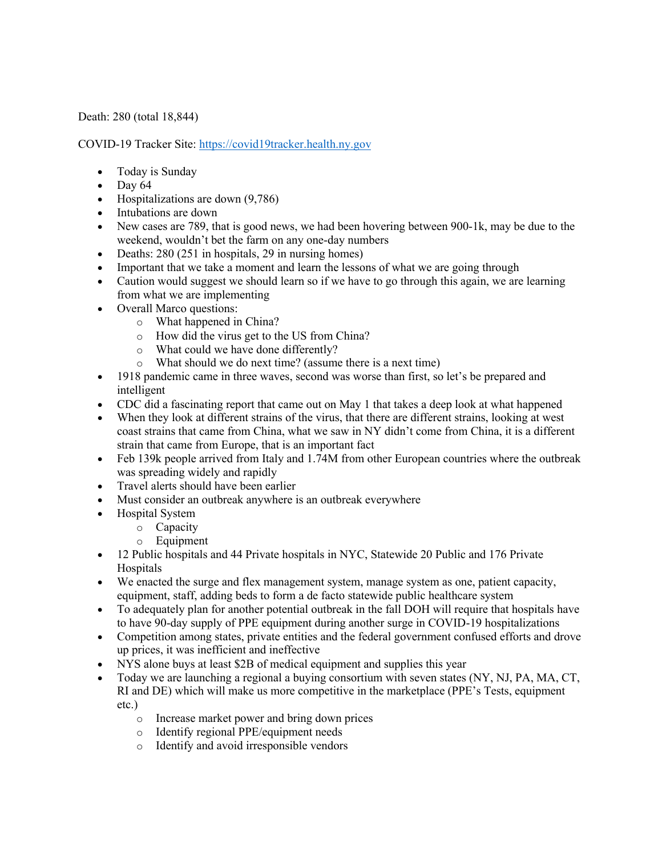## Death: 280 (total 18,844)

COVID-19 Tracker Site: https://covid19tracker.health.ny.gov

- Today is Sunday
- $\bullet$  Day 64
- Hospitalizations are down (9,786)
- Intubations are down
- New cases are 789, that is good news, we had been hovering between 900-1k, may be due to the weekend, wouldn't bet the farm on any one-day numbers
- Deaths: 280 (251 in hospitals, 29 in nursing homes)
- Important that we take a moment and learn the lessons of what we are going through
- Caution would suggest we should learn so if we have to go through this again, we are learning from what we are implementing
- Overall Marco questions:
	- o What happened in China?
	- o How did the virus get to the US from China?
	- o What could we have done differently?
	- o What should we do next time? (assume there is a next time)
- 1918 pandemic came in three waves, second was worse than first, so let's be prepared and intelligent
- CDC did a fascinating report that came out on May 1 that takes a deep look at what happened
- When they look at different strains of the virus, that there are different strains, looking at west coast strains that came from China, what we saw in NY didn't come from China, it is a different strain that came from Europe, that is an important fact
- Feb 139k people arrived from Italy and 1.74M from other European countries where the outbreak was spreading widely and rapidly
- Travel alerts should have been earlier
- Must consider an outbreak anywhere is an outbreak everywhere
- Hospital System
	- o Capacity
	- o Equipment
- 12 Public hospitals and 44 Private hospitals in NYC, Statewide 20 Public and 176 Private Hospitals
- We enacted the surge and flex management system, manage system as one, patient capacity, equipment, staff, adding beds to form a de facto statewide public healthcare system
- To adequately plan for another potential outbreak in the fall DOH will require that hospitals have to have 90-day supply of PPE equipment during another surge in COVID-19 hospitalizations
- Competition among states, private entities and the federal government confused efforts and drove up prices, it was inefficient and ineffective
- NYS alone buys at least \$2B of medical equipment and supplies this year
- Today we are launching a regional a buying consortium with seven states (NY, NJ, PA, MA, CT, RI and DE) which will make us more competitive in the marketplace (PPE's Tests, equipment etc.)
	- o Increase market power and bring down prices
	- o Identify regional PPE/equipment needs
	- o Identify and avoid irresponsible vendors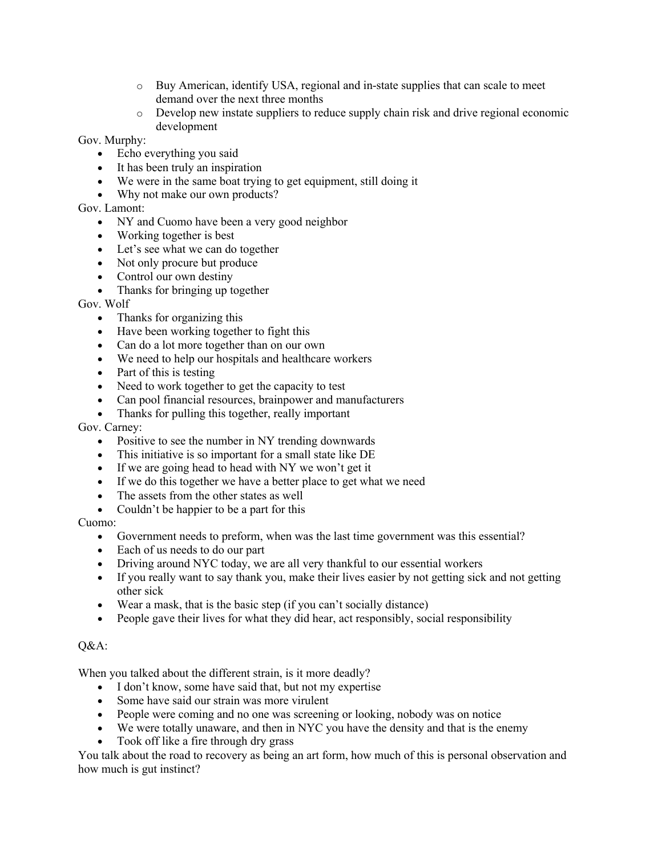- o Buy American, identify USA, regional and in-state supplies that can scale to meet demand over the next three months
- o Develop new instate suppliers to reduce supply chain risk and drive regional economic development

Gov. Murphy:

- Echo everything you said
- It has been truly an inspiration
- We were in the same boat trying to get equipment, still doing it
- Why not make our own products?

Gov. Lamont:

- NY and Cuomo have been a very good neighbor
- Working together is best
- Let's see what we can do together
- Not only procure but produce
- Control our own destiny
- Thanks for bringing up together

Gov. Wolf

- Thanks for organizing this
- Have been working together to fight this
- Can do a lot more together than on our own
- We need to help our hospitals and healthcare workers
- Part of this is testing
- Need to work together to get the capacity to test
- Can pool financial resources, brainpower and manufacturers
- Thanks for pulling this together, really important

## Gov. Carney:

- Positive to see the number in NY trending downwards
- This initiative is so important for a small state like DE
- If we are going head to head with NY we won't get it
- If we do this together we have a better place to get what we need
- The assets from the other states as well
- Couldn't be happier to be a part for this

## Cuomo:

- Government needs to preform, when was the last time government was this essential?
- Each of us needs to do our part
- Driving around NYC today, we are all very thankful to our essential workers
- If you really want to say thank you, make their lives easier by not getting sick and not getting other sick
- Wear a mask, that is the basic step (if you can't socially distance)
- People gave their lives for what they did hear, act responsibly, social responsibility

## Q&A:

When you talked about the different strain, is it more deadly?

- I don't know, some have said that, but not my expertise
- Some have said our strain was more virulent
- People were coming and no one was screening or looking, nobody was on notice
- We were totally unaware, and then in NYC you have the density and that is the enemy
- Took off like a fire through dry grass

You talk about the road to recovery as being an art form, how much of this is personal observation and how much is gut instinct?